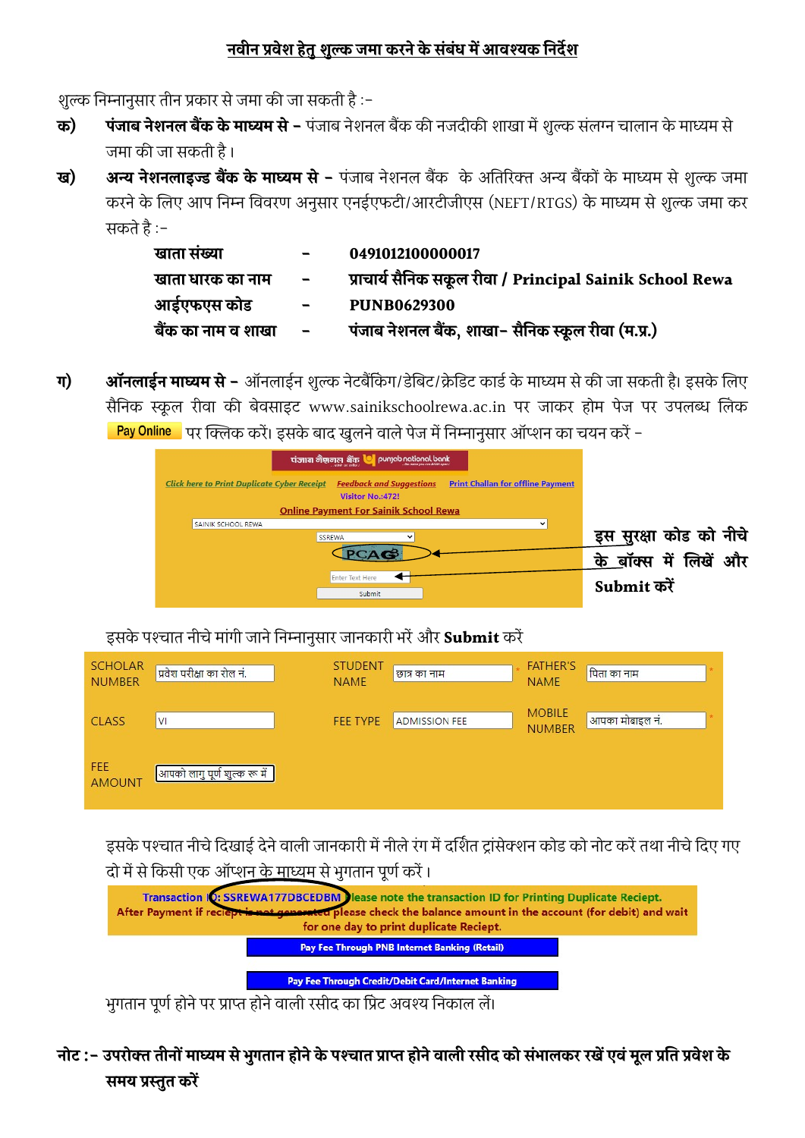## <u>नवीन प्रवेश हेतु शुल्क जमा करने के संबंध में आवश्यक निर्देश</u>

शुल्क निम्नानुसार तीन प्रकार से जमा की जा सकती है :-

- **क) पंजाब नेशनल बैंक के माध्यम से** पंजाब नेशनल बैंक की नजदीकी शाखा में शुल्क संलग्न चालान के माध्यम से जमा की जा सकती है।
- ख) अन्य नेशनलाइज्ड बैंक के माध्यम से पंजाब नेशनल बैंक) के अतिरिक्त अन्य बैंकों के माध्यम से शुल्क जमा करने के लिए आप निम्न विवरण अनुसार एनईएफटी/आरटीजीएस (NEFT/RTGS) के माध्यम से शुल्क जमा कर सकतेहै:-

| खाता संख्या        | $\blacksquare$                          | 0491012100000017                                         |
|--------------------|-----------------------------------------|----------------------------------------------------------|
| खाता धारक का नाम   | $\blacksquare$                          | प्राचार्य सैनिक सकूल रीवा / Principal Sainik School Rewa |
| आईएफएस कोड         | $\mathcal{L} = \mathcal{L} \mathcal{L}$ | <b>PUNB0629300</b>                                       |
| बैंक का नाम व शाखा | $\sim$ $\sim$                           | पंजाब नेशनल बैंक, शाखा- सैनिक स्कूल रीवा (म.प्र.)        |

**ग) ऑनलाईन माध्यम से -** ऑनलाईन शुल्क नेटबैंकिंग/डेबिट/क्रेडिट कार्ड के माध्यम से की जा सकती है। इसके लिए सैनिक स्कूल रीवा की बेवसाइट www.sainikschoolrewa.ac.in पर जाकर होम पेज पर उपलब्ध लिंक Pay Online पर क्लिक करें। इसके बाद खुलने वाले पेज में निम्नानुसार ऑप्शन का चयन करें -



इसके पश्चात नीचे मांगी जाने निम्नानुसार जानकारी भरें और Submit करें

| <b>SCHOLAR</b><br><b>NUMBER</b> | प्रवेश परीक्षा का रोल नं.                     | <b>STUDENT</b><br><b>NAME</b> | छात्र का नाम         | <b>FATHER'S</b><br><b>NAME</b> | पिता का नाम     |
|---------------------------------|-----------------------------------------------|-------------------------------|----------------------|--------------------------------|-----------------|
| <b>CLASS</b>                    | <b>VI</b>                                     | <b>FEE TYPE</b>               | <b>ADMISSION FEE</b> | <b>MOBILE</b><br><b>NUMBER</b> | आपका मोबाइल नं. |
| FEE<br><b>AMOUNT</b>            | <mark>े आपको लागु पूर्ण शुल्क रू में  </mark> |                               |                      |                                |                 |

इसके पश्चात नीचे दिखाई देने वाली जानकारी में नीले रंग में दर्शित ट्रांसेक्शन कोड को नोट करें तथा नीचे दिए गए दो में से किसी एक ऑप्शन <u>के माध्य</u>म से भुगतान पूर्ण करें ।



भुगतान पूर्ण होने पर प्राप्त होने वाली रसीद का प्रिंट अवश्य निकाल लें।

नोट :- उपरोक्त तीनों माध्यम से भुगतान होने के पश्चात प्राप्त होने वाली रसीद को संभालकर रखें एवं मूल प्रति प्रवेश के समय प्रस्तूत करें